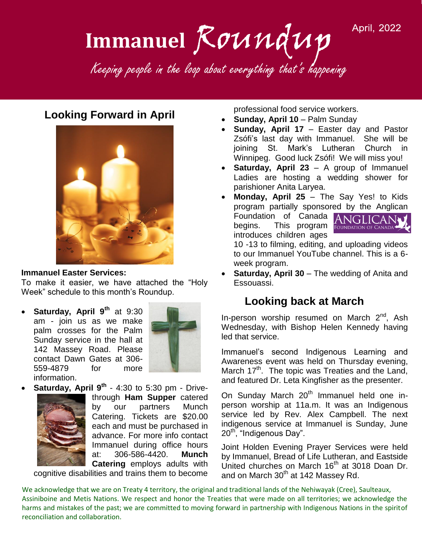#### **April, 2022**

# Immanuel Roundup Keeping people in the loop about everything that's happening Keeping people in the loop about everything that's happening Immanuel Roundup

# **Looking Forward in April**



#### **Immanuel Easter Services:**

To make it easier, we have attached the "Holy Week" schedule to this month's Roundup.

 **Saturday, April 9th** at 9:30 am - join us as we make palm crosses for the Palm Sunday service in the hall at 142 Massey Road. Please contact Dawn Gates at 306- 559-4879 for more information.



**Saturday, April 9<sup>th</sup> - 4:30 to 5:30 pm - Drive-**



through **Ham Supper** catered by our partners Munch Catering. Tickets are \$20.00 each and must be purchased in advance. For more info contact Immanuel during office hours at: 306-586-4420. **Munch Catering** employs adults with

cognitive disabilities and trains them to become

professional food service workers.

- **Sunday, April 10 Palm Sunday**
- **Sunday, April 17**  Easter day and Pastor Zsófi's last day with Immanuel. She will be joining St. Mark's Lutheran Church in Winnipeg. Good luck Zsófi! We will miss you!
- **Saturday, April 23**  A group of Immanuel Ladies are hosting a wedding shower for parishioner Anita Laryea.
- **Monday, April 25** The Say Yes! to Kids program partially sponsored by the Anglican Foundation of Canada ANGLICAN<sub>V</sub> begins. This program FOUNDATION OF CANADA introduces children ages

10 -13 to filming, editing, and uploading videos to our Immanuel YouTube channel. This is a 6 week program.

 **Saturday, April 30** – The wedding of Anita and Essouassi.

# **Looking back at March**

In-person worship resumed on March  $2^{nd}$ , Ash Wednesday, with Bishop Helen Kennedy having led that service.

Immanuel's second Indigenous Learning and Awareness event was held on Thursday evening, March  $17<sup>th</sup>$ . The topic was Treaties and the Land, and featured Dr. Leta Kingfisher as the presenter.

On Sunday March 20<sup>th</sup> Immanuel held one inperson worship at 11a.m. It was an Indigenous service led by Rev. Alex Campbell. The next indigenous service at Immanuel is Sunday, June 20<sup>th</sup>, "Indigenous Day".

Joint Holden Evening Prayer Services were held by Immanuel, Bread of Life Lutheran, and Eastside United churches on March 16<sup>th</sup> at 3018 Doan Dr. and on March 30<sup>th</sup> at 142 Massey Rd.

We acknowledge that we are on Treaty 4 territory, the original and traditional lands of the Nehiwayak (Cree), Saulteaux, Assiniboine and Metis Nations. We respect and honor the Treaties that were made on all territories; we acknowledge the harms and mistakes of the past; we are committed to moving forward in partnership with Indigenous Nations in the spiritof reconciliation and collaboration.